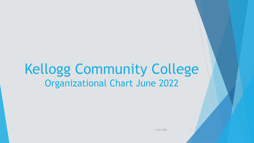# Kellogg Community College Organizational Chart June 2022

6/21/2022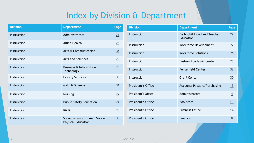# Index by Division & Department

<span id="page-1-0"></span>

| <b>Division</b> | <b>Department</b>                                           | Page           |
|-----------------|-------------------------------------------------------------|----------------|
| Instruction     | Administrators                                              | 21             |
| Instruction     | <b>Allied Health</b>                                        | 28             |
| Instruction     | Arts & Communication                                        | $\frac{34}{5}$ |
| Instruction     | Arts and Sciences                                           | 29             |
| Instruction     | <b>Business &amp; Information</b><br><b>Technology</b>      | 23             |
| Instruction     | <b>Library Services</b>                                     | 35             |
| Instruction     | Math & Science                                              | 31             |
| Instruction     | <b>Nursing</b>                                              | 27             |
| Instruction     | <b>Public Safety Education</b>                              | 24             |
| Instruction     | <b>RMTC</b>                                                 | 25             |
| Instruction     | Social Science, Human Svcs and<br><b>Physical Education</b> | <u>33</u>      |

| <b>Division</b>    | <b>Department</b>                        | Page           |
|--------------------|------------------------------------------|----------------|
| Instruction        | Early Childhood and Teacher<br>Education | 29             |
| Instruction        | <b>Workforce Development</b>             | 22             |
| Instruction        | <b>Workforce Solutions</b>               | 26             |
| Instruction        | Eastern Academic Center                  | 25             |
| Instruction        | <b>Fehsenfeld Center</b>                 | 32             |
| Instruction        | <b>Grahl Center</b>                      | 30             |
| President's Office | <b>Accounts Payable/Purchasing</b>       | 15             |
| President's Office | Administrators                           | $\overline{4}$ |
| President's Office | <b>Bookstore</b>                         | 13             |
| President's Office | <b>Business Office</b>                   | 14             |
| President's Office | Finance                                  | 8              |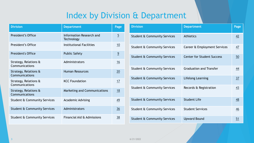## Index by Division & Department

| <b>Division</b>                         | <b>Department</b>                      | Page           |
|-----------------------------------------|----------------------------------------|----------------|
| President's Office                      | Information Research and<br>Technology | $\overline{5}$ |
| President's Office                      | Institutional Facilities               | 10             |
| <b>President's Office</b>               | <b>Public Safety</b>                   | $\overline{9}$ |
| Strategy, Relations &<br>Communications | Administrators                         | 16             |
| Strategy, Relations &<br>Communications | <b>Human Resources</b>                 | 20             |
| Strategy, Relations &<br>Communications | <b>KCC Foundation</b>                  | 17             |
| Strategy, Relations &<br>Communications | Marketing and Communications           | 18             |
| Student & Community Services            | <b>Academic Advising</b>               | 49             |
| Student & Community Services            | Administrators                         | 36             |
| Student & Community Services            | Financial Aid & Admissions             | 38             |

| <b>Division</b>                         | <b>Department</b>                 | Page           |
|-----------------------------------------|-----------------------------------|----------------|
| Student & Community Services            | <b>Athletics</b>                  | 42             |
| Student & Community Services            | Career & Employment Services      | $\frac{47}{1}$ |
| <b>Student &amp; Community Services</b> | <b>Center for Student Success</b> | 50             |
| Student & Community Services            | <b>Graduation and Transfer</b>    | 44             |
| <b>Student &amp; Community Services</b> | <b>Lifelong Learning</b>          | 37             |
| Student & Community Services            | Records & Registration            | $\frac{43}{5}$ |
| Student & Community Services            | <b>Student Life</b>               | 48             |
| Student & Community Services            | <b>Student Services</b>           | 46             |
| <b>Student &amp; Community Services</b> | <b>Upward Bound</b>               | 51             |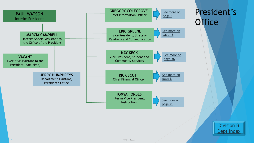<span id="page-3-0"></span>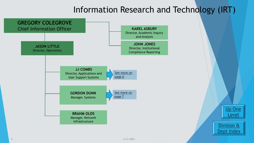### Information Research and Technology (IRT)

[Up One](#page-3-0) 

Division &

[Dept Index](#page-28-0)

<span id="page-4-0"></span>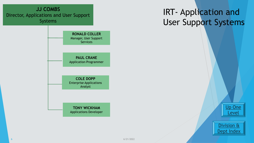# IRT- Application and User Support Systems

[Up One](#page-3-0)  Level



<span id="page-5-0"></span>**JJ COMBS** Director, Applications and User Support Systems

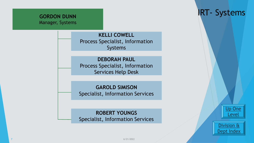<span id="page-6-0"></span>

**KELLI COWELL** Process Specialist, Information Systems

**DEBORAH PAUL** Process Specialist, Information Services Help Desk

#### **GAROLD SIMISON**

Specialist, Information Services

#### **ROBERT YOUNGS**

Specialist, Information Services

### IRT- Systems

[Up One](#page-28-0)  Level

Division & [Dept Index](#page-28-0)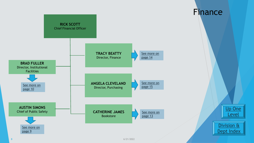<span id="page-7-0"></span>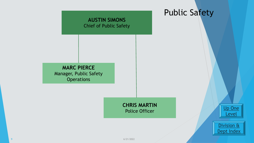<span id="page-8-0"></span>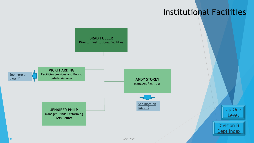### Institutional Facilities

<span id="page-9-0"></span>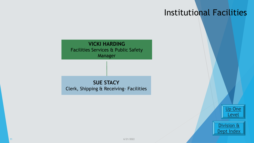### Institutional Facilities

<span id="page-10-0"></span>

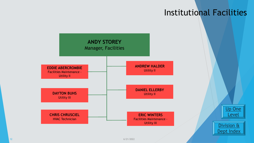### Institutional Facilities

<span id="page-11-0"></span>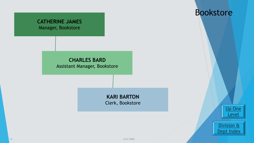#### <span id="page-12-0"></span>**CATHERINE JAMES** Manager, Bookstore

#### Bookstore

**CHARLES BARD** Assistant Manager, Bookstore

> **KARI BARTON** Clerk, Bookstore

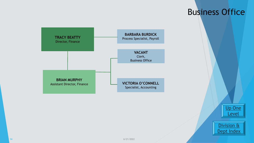#### Business Office

[Up One](#page-35-0) 

Level

Division &

[Dept Index](#page-28-0)

<span id="page-13-0"></span>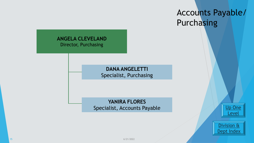### Accounts Payable/ Purchasing

#### <span id="page-14-0"></span>**ANGELA CLEVELAND** Director, Purchasing

**DANA ANGELETTI** Specialist, Purchasing

**YANIRA FLORES** Specialist, Accounts Payable



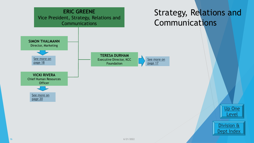<span id="page-15-0"></span>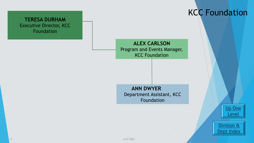#### <span id="page-16-0"></span>**TERESA DURHAM** Executive Director, KCC Foundation

### KCC Foundation

**ALEX CARLSON** Program and Events Manager, KCC Foundation

**ANN DWYER** Department Assistant, KCC Foundation

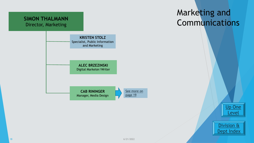<span id="page-17-0"></span>

### Marketing and Communications

[Up One](#page-15-0)

Level

Division &

[Dept Index](#page-28-0)

18  $\sim$  6/21/2022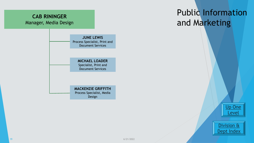#### <span id="page-18-0"></span>**CAB RININGER** Manager, Media Design

#### **JUNE LEWIS** Process Specialist, Print and Document Services

#### **MICHAEL LOADER** Specialist, Print and Document Services

#### **MACKENZIE GRIFFITH** Process Specialist, Media Design

# Public Information and Marketing

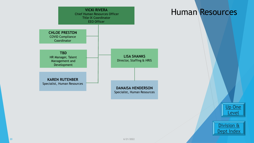<span id="page-19-0"></span>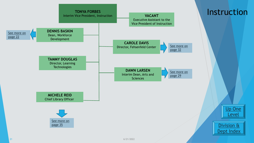<span id="page-20-0"></span>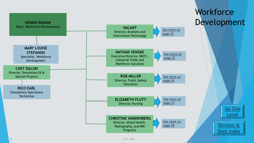<span id="page-21-0"></span>

22  $\sim$  6/21/2022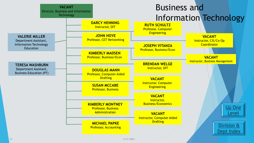<span id="page-22-0"></span>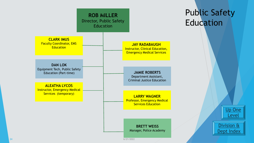<span id="page-23-0"></span>

# Public Safety Education

[Up One](#page-28-0)  Level

Division & [Dept Index](#page-28-0)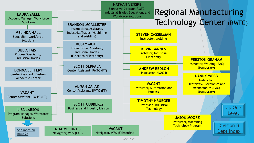<span id="page-24-0"></span>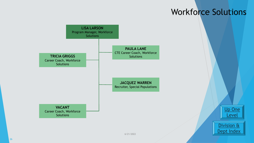### Workforce Solutions

[Up One](#page-21-0) 

Level

Division &

[Dept Index](#page-28-0)

<span id="page-25-0"></span>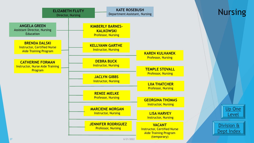<span id="page-26-0"></span>

[Up One](#page-21-0)  Level

Division & [Dept Index](#page-28-0)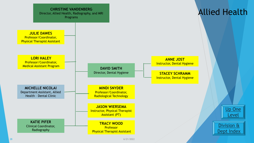<span id="page-27-0"></span>

28  $-$  6/21/2022  $-$  6/21/2022  $-$  6/21/2022  $-$  6/21/2022  $-$  6/21/2022  $-$  6/21/2022  $-$  6/21/2022  $-$  6/21/2022  $-$  6/21/2022  $-$  6/21/2022  $-$  6/21/2022  $-$  6/21/2022  $-$  6/21/2022  $-$  6/21/2022  $-$  6/21/2022  $-$  6/21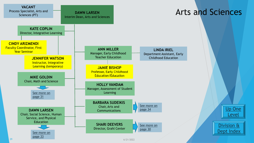<span id="page-28-0"></span>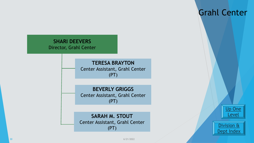#### <span id="page-29-0"></span>**SHARI DEEVERS**

Director, Grahl Center

**TERESA BRAYTON** Center Assistant, Grahl Center (PT)

**BEVERLY GRIGGS** Center Assistant, Grahl Center (PT)

**SARAH M. STOUT** Center Assistant, Grahl Center (PT)





Grahl Center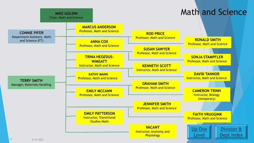<span id="page-30-0"></span>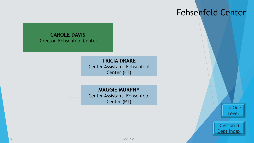### Fehsenfeld Center

#### <span id="page-31-0"></span>**CAROLE DAVIS**  Director, Fehsenfeld Center

**TRICIA DRAKE** Center Assistant, Fehsenfeld Center (FT)

**MAGGIE MURPHY** Center Assistant, Fehsenfeld Center (PT)

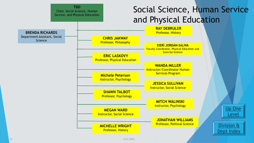<span id="page-32-0"></span>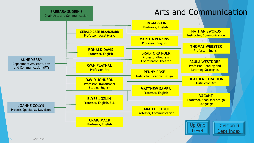<span id="page-33-0"></span>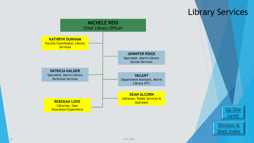<span id="page-34-0"></span>

#### Library Services

[Up One](#page-20-0) 

Level

Division &

[Dept Index](#page-28-0)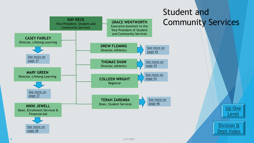<span id="page-35-0"></span>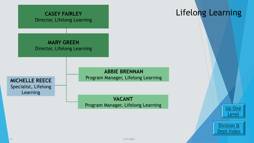<span id="page-36-0"></span>

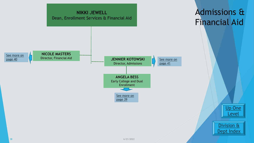<span id="page-37-0"></span>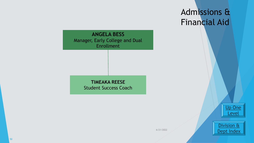# Admissions & Financial Aid

<span id="page-38-0"></span>



Division & [Dept Index](#page-28-0)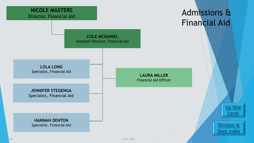<span id="page-39-0"></span>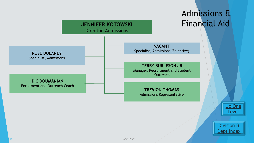<span id="page-40-0"></span>

6/21/2022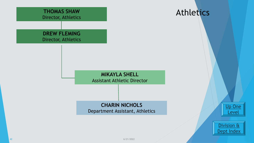<span id="page-41-0"></span>

42 6/21/2022 - 12:30  $\pm$  12:30  $\pm$  12:30  $\pm$  12:30  $\pm$  12:30  $\pm$  12:30  $\pm$  12:30  $\pm$  12:30  $\pm$  12:30  $\pm$  12:30  $\pm$  12:30  $\pm$  12:30  $\pm$  12:30  $\pm$  12:30  $\pm$  12:30  $\pm$  12:30  $\pm$  12:30  $\pm$  12:30  $\pm$  12:30  $\$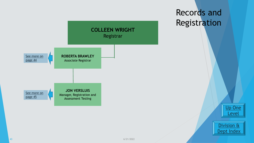<span id="page-42-0"></span>

### Records and Registration

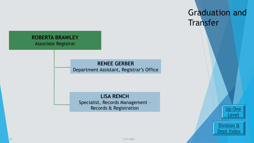#### <span id="page-43-0"></span>**ROBERTA BRAWLEY** Associate Registrar

#### **RENEE GERBER**

Department Assistant, Registrar's Office

#### **LISA RENCH**

Specialist, Records Management – Records & Registration



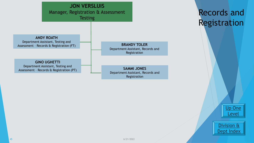<span id="page-44-0"></span>

### Records and Registration

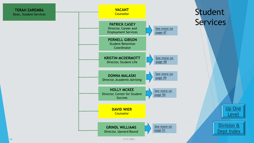<span id="page-45-0"></span>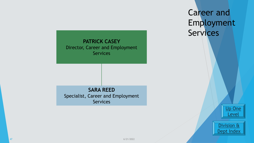<span id="page-46-0"></span>

Career and Employment **Services** 

> [Up One](#page-45-0) Level



47 6/21/2022 - 12 April 2014 - 12 April 2014 - 12 April 2014 - 12 April 2014 - 12 April 2014 - 12 April 2014 - 1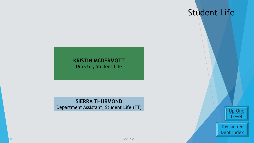### Student Life

#### <span id="page-47-0"></span>**KRISTIN MCDERMOTT** Director, Student Life

#### **SIERRA THURMOND** Department Assistant, Student Life (FT)

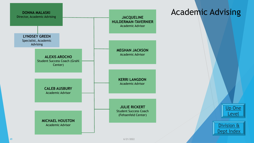<span id="page-48-0"></span>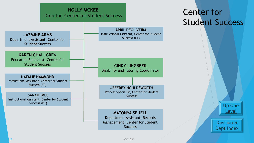#### **HOLLY MCKEE** Director, Center for Student Success

<span id="page-49-0"></span>

### Center for Student Success

[Up One](#page-20-0) 

Level

Division &

[Dept Index](#page-28-0)